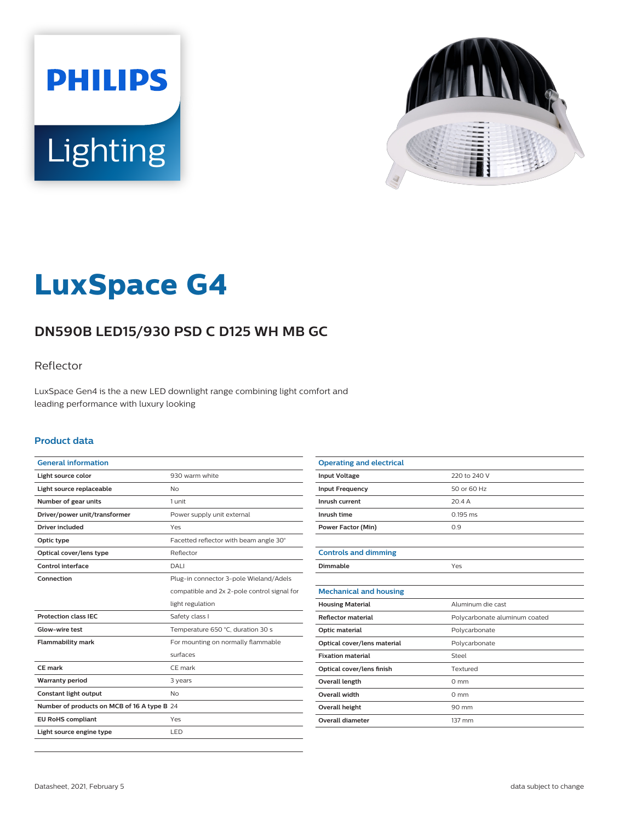



# **LuxSpace G4**

# **DN590B LED15/930 PSD C D125 WH MB GC**

### Reflector

LuxSpace Gen4 is the a new LED downlight range combining light comfort and leading performance with luxury looking

#### **Product data**

| <b>General information</b>                  |                                             |
|---------------------------------------------|---------------------------------------------|
| Light source color                          | 930 warm white                              |
| Light source replaceable                    | No                                          |
| Number of gear units                        | 1 unit                                      |
| Driver/power unit/transformer               | Power supply unit external                  |
| Driver included                             | Yes                                         |
| Optic type                                  | Facetted reflector with beam angle 30°      |
| Optical cover/lens type                     | Reflector                                   |
| Control interface                           | DALI                                        |
| Connection                                  | Plug-in connector 3-pole Wieland/Adels      |
|                                             | compatible and 2x 2-pole control signal for |
|                                             | light regulation                            |
| <b>Protection class IEC</b>                 | Safety class I                              |
| Glow-wire test                              | Temperature 650 °C, duration 30 s           |
| <b>Flammability mark</b>                    | For mounting on normally flammable          |
|                                             | surfaces                                    |
| <b>CE</b> mark                              | CE mark                                     |
| <b>Warranty period</b>                      | 3 years                                     |
| Constant light output                       | N <sub>o</sub>                              |
| Number of products on MCB of 16 A type B 24 |                                             |
| <b>EU RoHS compliant</b>                    | Yes                                         |
| Light source engine type                    | LED.                                        |

| <b>Operating and electrical</b> |                               |
|---------------------------------|-------------------------------|
| <b>Input Voltage</b>            | 220 to 240 V                  |
| <b>Input Frequency</b>          | 50 or 60 Hz                   |
| Inrush current                  | 20.4A                         |
| Inrush time                     | $0.195$ ms                    |
| <b>Power Factor (Min)</b>       | 0.9                           |
|                                 |                               |
| <b>Controls and dimming</b>     |                               |
| Dimmable                        | Yes                           |
|                                 |                               |
| <b>Mechanical and housing</b>   |                               |
| <b>Housing Material</b>         | Aluminum die cast             |
| <b>Reflector material</b>       | Polycarbonate aluminum coated |
| Optic material                  | Polycarbonate                 |
| Optical cover/lens material     | Polycarbonate                 |
| <b>Fixation material</b>        | Steel                         |
| Optical cover/lens finish       | Textured                      |
| Overall length                  | $0 \text{ mm}$                |
| Overall width                   | $0 \text{ mm}$                |
| Overall height                  | 90 mm                         |
| <b>Overall diameter</b>         | 137 mm                        |
|                                 |                               |